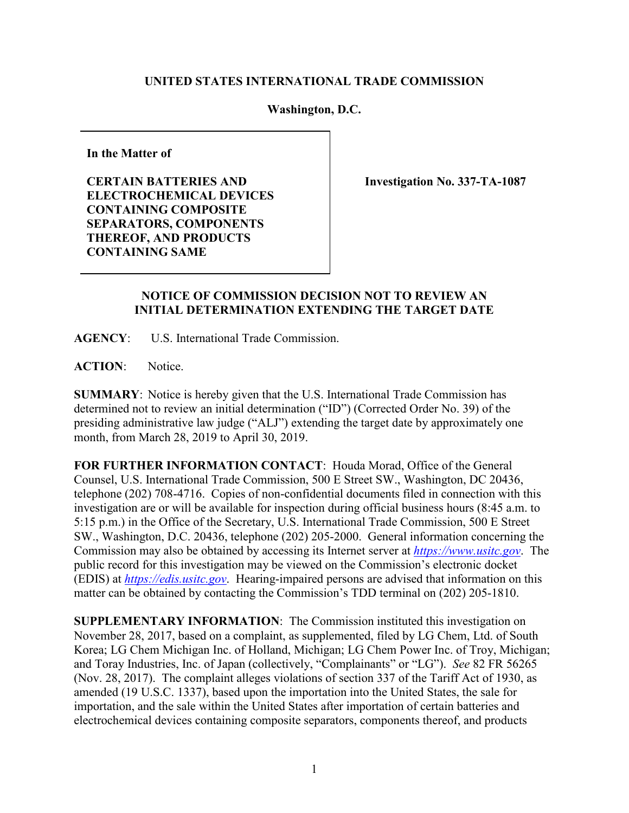## **UNITED STATES INTERNATIONAL TRADE COMMISSION**

## **Washington, D.C.**

**In the Matter of**

**CERTAIN BATTERIES AND ELECTROCHEMICAL DEVICES CONTAINING COMPOSITE SEPARATORS, COMPONENTS THEREOF, AND PRODUCTS CONTAINING SAME**

**Investigation No. 337-TA-1087**

## **NOTICE OF COMMISSION DECISION NOT TO REVIEW AN INITIAL DETERMINATION EXTENDING THE TARGET DATE**

**AGENCY**: U.S. International Trade Commission.

**ACTION**: Notice.

**SUMMARY**: Notice is hereby given that the U.S. International Trade Commission has determined not to review an initial determination ("ID") (Corrected Order No. 39) of the presiding administrative law judge ("ALJ") extending the target date by approximately one month, from March 28, 2019 to April 30, 2019.

**FOR FURTHER INFORMATION CONTACT**: Houda Morad, Office of the General Counsel, U.S. International Trade Commission, 500 E Street SW., Washington, DC 20436, telephone (202) 708-4716. Copies of non-confidential documents filed in connection with this investigation are or will be available for inspection during official business hours (8:45 a.m. to 5:15 p.m.) in the Office of the Secretary, U.S. International Trade Commission, 500 E Street SW., Washington, D.C. 20436, telephone (202) 205-2000. General information concerning the Commission may also be obtained by accessing its Internet server at *[https://www.usitc.gov](https://www.usitc.gov/)*. The public record for this investigation may be viewed on the Commission's electronic docket (EDIS) at *[https://edis.usitc.gov](http://edis.usitc.gov/)*. Hearing-impaired persons are advised that information on this matter can be obtained by contacting the Commission's TDD terminal on (202) 205-1810.

**SUPPLEMENTARY INFORMATION**: The Commission instituted this investigation on November 28, 2017, based on a complaint, as supplemented, filed by LG Chem, Ltd. of South Korea; LG Chem Michigan Inc. of Holland, Michigan; LG Chem Power Inc. of Troy, Michigan; and Toray Industries, Inc. of Japan (collectively, "Complainants" or "LG"). *See* 82 FR 56265 (Nov. 28, 2017). The complaint alleges violations of section 337 of the Tariff Act of 1930, as amended (19 U.S.C. 1337), based upon the importation into the United States, the sale for importation, and the sale within the United States after importation of certain batteries and electrochemical devices containing composite separators, components thereof, and products